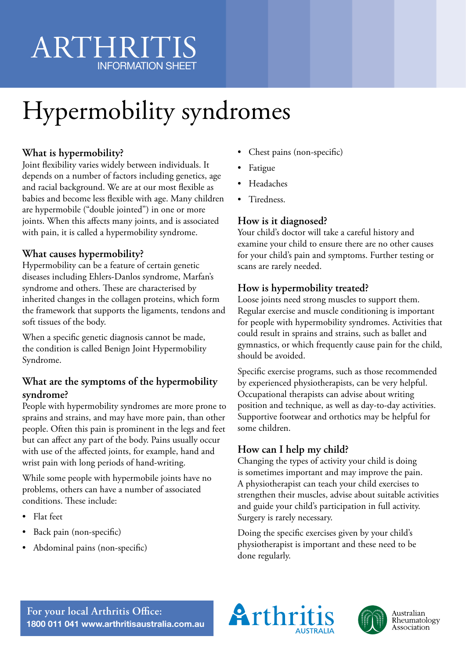# ARTHRITIS INFORMATION SHEET

# Hypermobility syndromes

## **What is hypermobility?**

Joint flexibility varies widely between individuals. It depends on a number of factors including genetics, age and racial background. We are at our most flexible as babies and become less flexible with age. Many children are hypermobile ("double jointed") in one or more joints. When this affects many joints, and is associated with pain, it is called a hypermobility syndrome.

#### **What causes hypermobility?**

Hypermobility can be a feature of certain genetic diseases including Ehlers-Danlos syndrome, Marfan's syndrome and others. These are characterised by inherited changes in the collagen proteins, which form the framework that supports the ligaments, tendons and soft tissues of the body.

When a specific genetic diagnosis cannot be made, the condition is called Benign Joint Hypermobility Syndrome.

#### **What are the symptoms of the hypermobility syndrome?**

People with hypermobility syndromes are more prone to sprains and strains, and may have more pain, than other people. Often this pain is prominent in the legs and feet but can affect any part of the body. Pains usually occur with use of the affected joints, for example, hand and wrist pain with long periods of hand-writing.

While some people with hypermobile joints have no problems, others can have a number of associated conditions. These include:

- Flat feet
- Back pain (non-specific)
- Abdominal pains (non-specific)
- Chest pains (non-specific)
- Fatigue
- Headaches
- Tiredness.

#### **How is it diagnosed?**

Your child's doctor will take a careful history and examine your child to ensure there are no other causes for your child's pain and symptoms. Further testing or scans are rarely needed.

#### **How is hypermobility treated?**

Loose joints need strong muscles to support them. Regular exercise and muscle conditioning is important for people with hypermobility syndromes. Activities that could result in sprains and strains, such as ballet and gymnastics, or which frequently cause pain for the child, should be avoided.

Specific exercise programs, such as those recommended by experienced physiotherapists, can be very helpful. Occupational therapists can advise about writing position and technique, as well as day-to-day activities. Supportive footwear and orthotics may be helpful for some children.

### **How can I help my child?**

Changing the types of activity your child is doing is sometimes important and may improve the pain. A physiotherapist can teach your child exercises to strengthen their muscles, advise about suitable activities and guide your child's participation in full activity. Surgery is rarely necessary.

Doing the specific exercises given by your child's physiotherapist is important and these need to be done regularly.